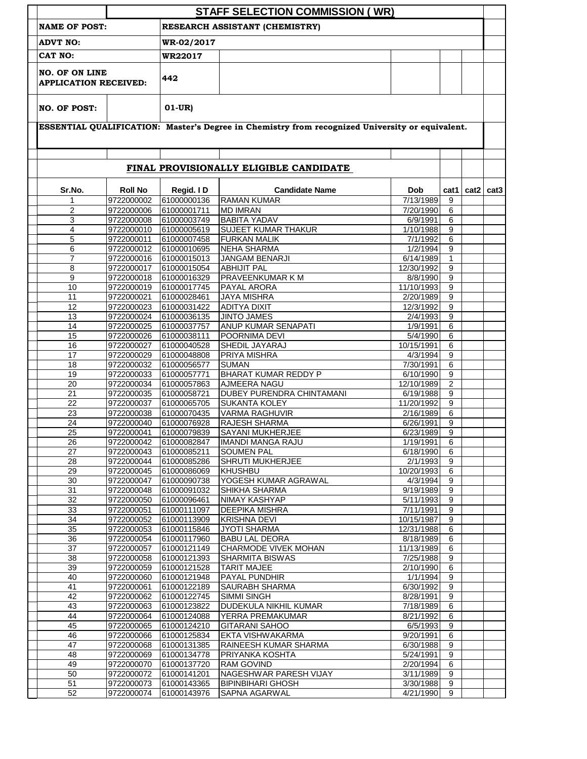|                                                       |                          |                            | <b>STAFF SELECTION COMMISSION (WR)</b>                                                          |                         |                                  |                  |                  |
|-------------------------------------------------------|--------------------------|----------------------------|-------------------------------------------------------------------------------------------------|-------------------------|----------------------------------|------------------|------------------|
| <b>NAME OF POST:</b>                                  |                          |                            | RESEARCH ASSISTANT (CHEMISTRY)                                                                  |                         |                                  |                  |                  |
| <b>ADVT NO:</b>                                       |                          | WR-02/2017                 |                                                                                                 |                         |                                  |                  |                  |
| CAT NO:                                               |                          | WR22017                    |                                                                                                 |                         |                                  |                  |                  |
| <b>NO. OF ON LINE</b><br><b>APPLICATION RECEIVED:</b> |                          | 442                        |                                                                                                 |                         |                                  |                  |                  |
| <b>NO. OF POST:</b>                                   |                          | $01-UR)$                   |                                                                                                 |                         |                                  |                  |                  |
|                                                       |                          |                            | ESSENTIAL QUALIFICATION: Master's Degree in Chemistry from recognized University or equivalent. |                         |                                  |                  |                  |
|                                                       |                          |                            |                                                                                                 |                         |                                  |                  |                  |
|                                                       |                          |                            | FINAL PROVISIONALLY ELIGIBLE CANDIDATE                                                          |                         |                                  |                  |                  |
| Sr.No.                                                | <b>Roll No</b>           | Regid. I D                 | <b>Candidate Name</b>                                                                           | <b>Dob</b>              | cat1                             | cat <sub>2</sub> | cat <sub>3</sub> |
| 1                                                     | 9722000002               | 61000000136                | <b>RAMAN KUMAR</b>                                                                              | 7/13/1989               | 9                                |                  |                  |
| $\overline{2}$                                        | 9722000006               | 61000001711                | <b>MD IMRAN</b>                                                                                 | 7/20/1990               | 6                                |                  |                  |
| 3                                                     | 9722000008               | 61000003749                | <b>BABITA YADAV</b>                                                                             | $\sqrt{6}/9/1991$       | 6                                |                  |                  |
| 4                                                     | 9722000010               | 61000005619                | <b>SUJEET KUMAR THAKUR</b>                                                                      | 1/10/1988               | 9                                |                  |                  |
| 5                                                     | 9722000011               | 61000007458                | <b>FURKAN MALIK</b>                                                                             | 7/1/1992                | $\overline{6}$                   |                  |                  |
| 6                                                     | 9722000012               | 61000010695                | <b>NEHA SHARMA</b>                                                                              | 1/2/1994                | $\overline{9}$                   |                  |                  |
| 7<br>8                                                | 9722000016               | 61000015013                | JANGAM BENARJI<br><b>ABHIJIT PAL</b>                                                            | 6/14/1989               | $\mathbf{1}$<br>$\overline{9}$   |                  |                  |
| 9                                                     | 9722000017<br>9722000018 | 61000015054<br>61000016329 | <b>PRAVEENKUMAR K M</b>                                                                         | 12/30/1992<br>8/8/1990  | 9                                |                  |                  |
| 10                                                    | 9722000019               | 61000017745                | <b>PAYAL ARORA</b>                                                                              | 11/10/1993              | 9                                |                  |                  |
| 11                                                    | 9722000021               | 61000028461                | <b>JAYA MISHRA</b>                                                                              | 2/20/1989               | $\overline{9}$                   |                  |                  |
| 12                                                    | 9722000023               | 61000031422                | <b>ADITYA DIXIT</b>                                                                             | 12/3/1992               | 9                                |                  |                  |
| 13                                                    | 9722000024               | 61000036135                | <b>JINTO JAMES</b>                                                                              | 2/4/1993                | 9                                |                  |                  |
| 14                                                    | 9722000025               | 61000037757                | ANUP KUMAR SENAPATI                                                                             | 1/9/1991                | $\overline{6}$                   |                  |                  |
| 15                                                    | 9722000026               | 61000038111                | POORNIMA DEVI                                                                                   | 5/4/1990                | 6                                |                  |                  |
| 16                                                    | 9722000027               | 61000040528                | <b>SHEDIL JAYARAJ</b>                                                                           | 10/15/1991              | 6                                |                  |                  |
| 17                                                    | 9722000029               | 61000048808                | <b>PRIYA MISHRA</b>                                                                             | 4/3/1994                | $\overline{9}$                   |                  |                  |
| 18                                                    | 9722000032               | 61000056577                | <b>SUMAN</b>                                                                                    | 7/30/1991               | 6                                |                  |                  |
| 19                                                    | 9722000033               | 61000057771                | <b>BHARAT KUMAR REDDY P</b>                                                                     | 6/10/1990               | 9                                |                  |                  |
| 20                                                    | 9722000034               | 61000057863                | <b>AJMEERA NAGU</b>                                                                             | 12/10/1989              | $\overline{2}$                   |                  |                  |
| 21                                                    | 9722000035<br>9722000037 | 61000058721<br>61000065705 | DUBEY PURENDRA CHINTAMANI<br>SUKANTA KOLEY                                                      | 6/19/1988<br>11/20/1992 | 9<br>9                           |                  |                  |
| 22<br>23                                              | 9722000038               | 61000070435                | <b>VARMA RAGHUVIR</b>                                                                           | 2/16/1989               | 6                                |                  |                  |
| 24                                                    | 9722000040               | 61000076928                | RAJESH SHARMA                                                                                   | 6/26/1991               | $\overline{9}$                   |                  |                  |
| $\overline{25}$                                       | 9722000041               | 61000079839                | <b>SAYANI MUKHERJEE</b>                                                                         | 6/23/1989               | 9                                |                  |                  |
| 26                                                    | 9722000042               | 61000082847                | <b>IMANDI MANGA RAJU</b>                                                                        | 1/19/1991               | 6                                |                  |                  |
| 27                                                    | 9722000043               | 61000085211                | <b>SOUMEN PAL</b>                                                                               | 6/18/1990               | 6                                |                  |                  |
| 28                                                    | 9722000044               | 61000085286                | <b>SHRUTI MUKHERJEE</b>                                                                         | 2/1/1993                | $\boldsymbol{9}$                 |                  |                  |
| 29                                                    | 9722000045               | 61000086069                | KHUSHBU                                                                                         | 10/20/1993              | $\,6\,$                          |                  |                  |
| 30                                                    | 9722000047               | 61000090738                | YOGESH KUMAR AGRAWAL                                                                            | 4/3/1994                | $\boldsymbol{9}$                 |                  |                  |
| 31                                                    | 9722000048               | 61000091032                | SHIKHA SHARMA                                                                                   | 9/19/1989               | $\overline{9}$                   |                  |                  |
| 32                                                    | 9722000050               | 61000096461                | NIMAY KASHYAP                                                                                   | 5/11/1993               | $\overline{9}$                   |                  |                  |
| 33                                                    | 9722000051               | 61000111097                | DEEPIKA MISHRA                                                                                  | 7/11/1991               | $\overline{9}$                   |                  |                  |
| 34<br>$\overline{35}$                                 | 9722000052<br>9722000053 | 61000113909                | <b>KRISHNA DEVI</b><br><b>JYOTI SHARMA</b>                                                      | 10/15/1987              | $\overline{9}$<br>$\overline{6}$ |                  |                  |
| 36                                                    | 9722000054               | 61000115846<br>61000117960 | <b>BABU LAL DEORA</b>                                                                           | 12/31/1988<br>8/18/1989 | 6                                |                  |                  |
| 37                                                    | 9722000057               | 61000121149                | CHARMODE VIVEK MOHAN                                                                            | 11/13/1989              | 6                                |                  |                  |
| 38                                                    | 9722000058               | 61000121393                | SHARMITA BISWAS                                                                                 | 7/25/1988               | $\boldsymbol{9}$                 |                  |                  |
| 39                                                    | 9722000059               | 61000121528                | <b>TARIT MAJEE</b>                                                                              | 2/10/1990               | $\overline{6}$                   |                  |                  |
| 40                                                    | 9722000060               | 61000121948                | PAYAL PUNDHIR                                                                                   | 1/1/1994                | $\overline{9}$                   |                  |                  |
| 41                                                    | 9722000061               | 61000122189                | <b>SAURABH SHARMA</b>                                                                           | 6/30/1992               | $\overline{9}$                   |                  |                  |
| 42                                                    | 9722000062               | 61000122745                | <b>SIMMI SINGH</b>                                                                              | 8/28/1991               | $\overline{9}$                   |                  |                  |
| 43                                                    | 9722000063               | 61000123822                | DUDEKULA NIKHIL KUMAR                                                                           | 7/18/1989               | $\overline{6}$                   |                  |                  |
| 44                                                    | 9722000064               | 61000124088                | YERRA PREMAKUMAR                                                                                | 8/21/1992               | $\overline{6}$                   |                  |                  |
| 45                                                    | 9722000065               | 61000124210                | <b>GITARANI SAHOO</b>                                                                           | 6/5/1993                | $\overline{9}$                   |                  |                  |
| 46                                                    | 9722000066               | 61000125834                | EKTA VISHWAKARMA                                                                                | 9/20/1991               | $\,6\,$                          |                  |                  |
| 47                                                    | 9722000068               | 61000131385<br>61000134778 | RAINEESH KUMAR SHARMA<br>PRIYANKA KOSHTA                                                        | 6/30/1988<br>5/24/1991  | $\overline{9}$                   |                  |                  |
| 48<br>49                                              |                          |                            |                                                                                                 |                         | $\boldsymbol{9}$                 |                  |                  |
|                                                       | 9722000069               |                            |                                                                                                 |                         |                                  |                  |                  |
|                                                       | 9722000070               | 61000137720                | <b>RAM GOVIND</b>                                                                               | 2/20/1994               | $\overline{6}$                   |                  |                  |
| 50<br>51                                              | 9722000072<br>9722000073 | 61000141201<br>61000143365 | NAGESHWAR PARESH VIJAY<br><b>BIPINBIHARI GHOSH</b>                                              | 3/11/1989<br>3/30/1988  | 9<br>$\overline{9}$              |                  |                  |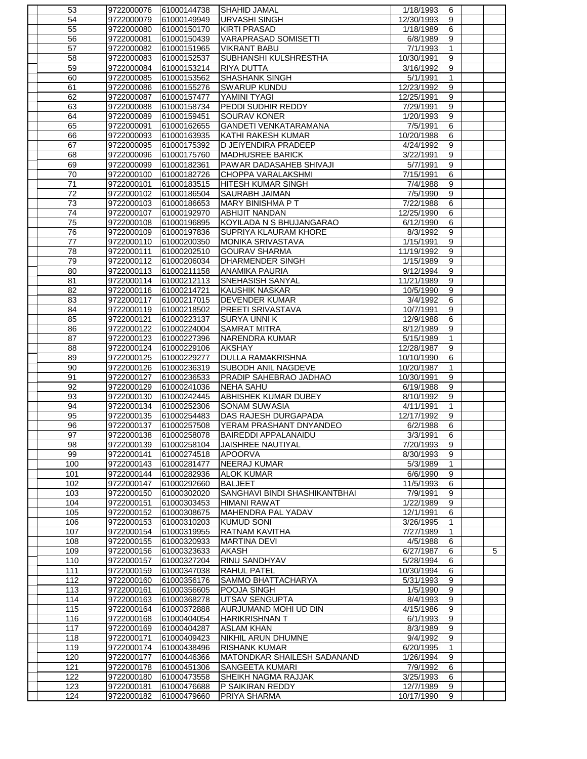| 53  | 9722000076 | 61000144738 | <b>SHAHID JAMAL</b>           | 1/18/1993  | 6                                 |   |
|-----|------------|-------------|-------------------------------|------------|-----------------------------------|---|
| 54  | 9722000079 | 61000149949 | URVASHI SINGH                 | 12/30/1993 | 9                                 |   |
| 55  | 9722000080 | 61000150170 | <b>KIRTI PRASAD</b>           | 1/18/1989  | 6                                 |   |
| 56  | 9722000081 | 61000150439 | <b>VARAPRASAD SOMISETTI</b>   | 6/8/1989   | 9                                 |   |
| 57  | 9722000082 | 61000151965 | <b>VIKRANT BABU</b>           | 7/1/1993   | 1                                 |   |
| 58  | 9722000083 | 61000152537 | SUBHANSHI KULSHRESTHA         | 10/30/1991 | $\overline{9}$                    |   |
| 59  | 9722000084 | 61000153214 | <b>RIYA DUTTA</b>             | 3/16/1992  | 9                                 |   |
| 60  | 9722000085 | 61000153562 | <b>SHASHANK SINGH</b>         | 5/1/1991   | 1                                 |   |
| 61  | 9722000086 | 61000155276 | <b>SWARUP KUNDU</b>           | 12/23/1992 | 9                                 |   |
| 62  | 9722000087 | 61000157477 | YAMINI TYAGI                  | 12/25/1991 | $9\,$                             |   |
| 63  | 9722000088 | 61000158734 | PEDDI SUDHIR REDDY            | 7/29/1991  | 9                                 |   |
| 64  | 9722000089 | 61000159451 | SOURAV KONER                  | 1/20/1993  | $\boldsymbol{9}$                  |   |
| 65  | 9722000091 | 61000162655 | <b>GANDETI VENKATARAMANA</b>  | 7/5/1991   | 6                                 |   |
|     | 9722000093 |             | KATHI RAKESH KUMAR            | 10/20/1988 |                                   |   |
| 66  |            | 61000163935 |                               | 4/24/1992  | 6                                 |   |
| 67  | 9722000095 | 61000175392 | D JEIYENDIRA PRADEEP          |            | 9                                 |   |
| 68  | 9722000096 | 61000175760 | <b>MADHUSREE BARICK</b>       | 3/22/1991  | 9                                 |   |
| 69  | 9722000099 | 61000182361 | PAWAR DADASAHEB SHIVAJI       | 5/7/1991   | 9                                 |   |
| 70  | 9722000100 | 61000182726 | CHOPPA VARALAKSHMI            | 7/15/1991  | 6                                 |   |
| 71  | 9722000101 | 61000183515 | HITESH KUMAR SINGH            | 7/4/1988   | 9                                 |   |
| 72  | 9722000102 | 61000186504 | <b>SAURABH JAIMAN</b>         | 7/5/1990   | $\boldsymbol{9}$                  |   |
| 73  | 9722000103 | 61000186653 | <b>MARY BINISHMA PT</b>       | 7/22/1988  | 6                                 |   |
| 74  | 9722000107 | 61000192970 | <b>ABHIJIT NANDAN</b>         | 12/25/1990 | 6                                 |   |
| 75  | 9722000108 | 61000196895 | KOYILADA N S BHUJANGARAO      | 6/12/1990  | 6                                 |   |
| 76  | 9722000109 | 61000197836 | <b>SUPRIYA KLAURAM KHORE</b>  | 8/3/1992   | $\overline{9}$                    |   |
| 77  | 9722000110 | 61000200350 | <b>MONIKA SRIVASTAVA</b>      | 1/15/1991  | 9                                 |   |
| 78  | 9722000111 | 61000202510 | <b>GOURAV SHARMA</b>          | 11/19/1992 | 9                                 |   |
| 79  | 9722000112 | 61000206034 | <b>DHARMENDER SINGH</b>       | 1/15/1989  | $\boldsymbol{9}$                  |   |
| 80  | 9722000113 | 61000211158 | ANAMIKA PAURIA                | 9/12/1994  | 9                                 |   |
| 81  | 9722000114 | 61000212113 | SNEHASISH SANYAL              | 11/21/1989 | $\overline{9}$                    |   |
| 82  | 9722000116 | 61000214721 | <b>KAUSHIK NASKAR</b>         | 10/5/1990  | 9                                 |   |
| 83  | 9722000117 | 61000217015 | <b>DEVENDER KUMAR</b>         | 3/4/1992   | $\overline{6}$                    |   |
| 84  | 9722000119 | 61000218502 | <b>PREETI SRIVASTAVA</b>      | 10/7/1991  | $9\,$                             |   |
| 85  | 9722000121 |             |                               | 12/9/1988  | 6                                 |   |
|     |            | 61000223137 | <b>SURYA UNNIK</b>            |            |                                   |   |
| 86  | 9722000122 | 61000224004 | <b>SAMRAT MITRA</b>           | 8/12/1989  | 9                                 |   |
| 87  | 9722000123 | 61000227396 | NARENDRA KUMAR                | 5/15/1989  | $\mathbf{1}$                      |   |
| 88  | 9722000124 | 61000229106 | AKSHAY                        | 12/28/1987 | 9                                 |   |
| 89  | 9722000125 | 61000229277 | <b>DULLA RAMAKRISHNA</b>      | 10/10/1990 | 6                                 |   |
| 90  | 9722000126 | 61000236319 | <b>SUBODH ANIL NAGDEVE</b>    | 10/20/1987 | $\mathbf{1}$                      |   |
| 91  | 9722000127 | 61000236533 | PRADIP SAHEBRAO JADHAO        | 10/30/1991 | 9                                 |   |
| 92  | 9722000129 | 61000241036 | <b>NEHA SAHU</b>              | 6/19/1988  | 9                                 |   |
| 93  | 9722000130 | 61000242445 | <b>ABHISHEK KUMAR DUBEY</b>   | 8/10/1992  | 9                                 |   |
| 94  | 9722000134 | 61000252306 | <b>SONAM SUWASIA</b>          | 4/11/1991  | $\mathbf{1}$                      |   |
| 95  | 9722000135 | 61000254483 | DAS RAJESH DURGAPADA          | 12/17/1992 | 9                                 |   |
| 96  | 9722000137 | 61000257508 | YERAM PRASHANT DNYANDEO       | 6/2/1988   | 6                                 |   |
| 97  | 9722000138 | 61000258078 | BAIREDDI APPALANAIDU          | 3/3/1991   | 6                                 |   |
| 98  | 9722000139 | 61000258104 | JAISHREE NAUTIYAL             | 7/20/1993  | 9                                 |   |
| 99  | 9722000141 | 61000274518 | <b>APOORVA</b>                | 8/30/1993  | 9                                 |   |
| 100 | 9722000143 | 61000281477 | <b>NEERAJ KUMAR</b>           | 5/3/1989   | 1                                 |   |
| 101 | 9722000144 | 61000282936 | <b>ALOK KUMAR</b>             | 6/6/1990   | $\overline{9}$                    |   |
| 102 | 9722000147 | 61000292660 | <b>BALJEET</b>                | 11/5/1993  | 6                                 |   |
| 103 |            | 61000302020 | SANGHAVI BINDI SHASHIKANTBHAI | 7/9/1991   | $\overline{9}$                    |   |
|     | 9722000150 |             |                               |            |                                   |   |
| 104 | 9722000151 | 61000303453 | <b>HIMANI RAWAT</b>           | 1/22/1989  | $\overline{9}$<br>$6\overline{6}$ |   |
| 105 | 9722000152 | 61000308675 | MAHENDRA PAL YADAV            | 12/1/1991  |                                   |   |
| 106 | 9722000153 | 61000310203 | KUMUD SONI                    | 3/26/1995  | 1                                 |   |
| 107 | 9722000154 | 61000319955 | <b>RATNAM KAVITHA</b>         | 7/27/1989  | 1                                 |   |
| 108 | 9722000155 | 61000320933 | <b>MARTINA DEVI</b>           | 4/5/1988   | $\,6\,$                           |   |
| 109 | 9722000156 | 61000323633 | <b>AKASH</b>                  | 6/27/1987  | 6                                 | 5 |
| 110 | 9722000157 | 61000327204 | RINU SANDHYAV                 | 5/28/1994  | 6                                 |   |
| 111 | 9722000159 | 61000347038 | <b>RAHUL PATEL</b>            | 10/30/1994 | 6                                 |   |
| 112 | 9722000160 | 61000356176 | SAMMO BHATTACHARYA            | 5/31/1993  | $\overline{9}$                    |   |
| 113 | 9722000161 | 61000356605 | POOJA SINGH                   | 1/5/1990   | $\overline{9}$                    |   |
| 114 | 9722000163 | 61000368278 | UTSAV SENGUPTA                | 8/4/1993   | $\overline{9}$                    |   |
| 115 | 9722000164 | 61000372888 | AURJUMAND MOHI UD DIN         | 4/15/1986  | $\overline{9}$                    |   |
| 116 | 9722000168 | 61000404054 | <b>HARIKRISHNAN T</b>         | 6/1/1993   | $\boldsymbol{9}$                  |   |
| 117 | 9722000169 | 61000404287 | <b>ASLAM KHAN</b>             | 8/3/1989   | $\overline{9}$                    |   |
| 118 | 9722000171 | 61000409423 | <b>NIKHIL ARUN DHUMNE</b>     | 9/4/1992   | $\overline{9}$                    |   |
| 119 | 9722000174 | 61000438496 | <b>RISHANK KUMAR</b>          | 6/20/1995  | $\mathbf{1}$                      |   |
| 120 | 9722000177 | 61000446366 | MATONDKAR SHAILESH SADANAND   | 1/26/1994  | 9                                 |   |
| 121 | 9722000178 | 61000451306 | SANGEETA KUMARI               | 7/9/1992   | 6                                 |   |
| 122 | 9722000180 | 61000473558 | <b>SHEIKH NAGMA RAJJAK</b>    | 3/25/1993  | 6                                 |   |
| 123 | 9722000181 | 61000476688 | P SAIKIRAN REDDY              | 12/7/1989  | 9                                 |   |
| 124 | 9722000182 | 61000479660 | PRIYA SHARMA                  | 10/17/1990 | 9                                 |   |
|     |            |             |                               |            |                                   |   |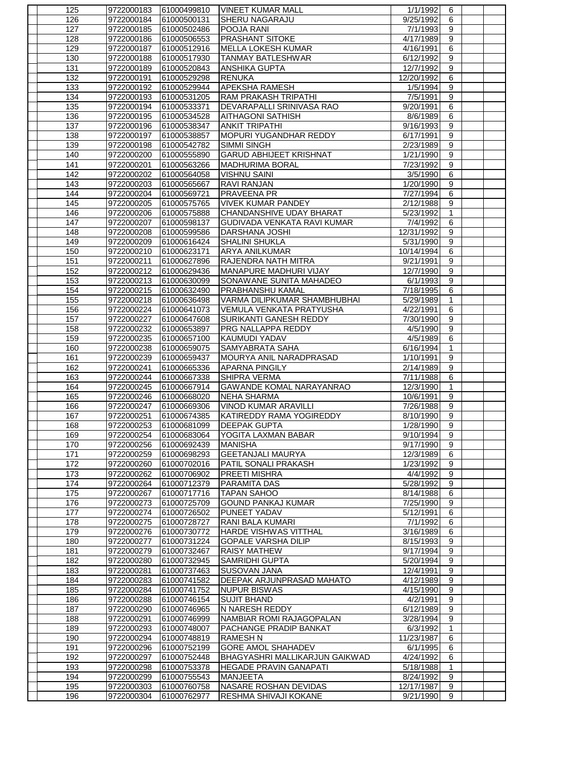| 125 | 9722000183 | 61000499810 | <b>VINEET KUMAR MALL</b>              | 1/1/1992             | 6                |  |
|-----|------------|-------------|---------------------------------------|----------------------|------------------|--|
| 126 | 9722000184 | 61000500131 | <b>SHERU NAGARAJU</b>                 | 9/25/1992            | 6                |  |
| 127 | 9722000185 | 61000502486 | POOJA RANI                            | 7/1/1993             | 9                |  |
| 128 | 9722000186 | 61000506553 | <b>PRASHANT SITOKE</b>                | 4/17/1989            | 9                |  |
| 129 | 9722000187 | 61000512916 | <b>MELLA LOKESH KUMAR</b>             | 4/16/1991            | 6                |  |
| 130 | 9722000188 | 61000517930 | <b>TANMAY BATLESHWAR</b>              | 6/12/1992            | $\overline{9}$   |  |
| 131 | 9722000189 | 61000520843 | <b>ANSHIKA GUPTA</b>                  | 12/7/1992            | $\boldsymbol{9}$ |  |
| 132 | 9722000191 | 61000529298 | <b>RENUKA</b>                         | 12/20/1992           | 6                |  |
| 133 | 9722000192 | 61000529944 | APEKSHA RAMESH                        | 1/5/1994             | $\overline{9}$   |  |
| 134 | 9722000193 | 61000531205 | RAM PRAKASH TRIPATHI                  | 7/5/1991             | 9                |  |
| 135 | 9722000194 | 61000533371 | DEVARAPALLI SRINIVASA RAO             | 9/20/1991            | 6                |  |
| 136 | 9722000195 | 61000534528 | <b>AITHAGONI SATHISH</b>              | 8/6/1989             | 6                |  |
| 137 | 9722000196 | 61000538347 | <b>ANKIT TRIPATHI</b>                 | 9/16/1993            | $\overline{9}$   |  |
| 138 | 9722000197 | 61000538857 | MOPURI YUGANDHAR REDDY                | 6/17/1991            | 9                |  |
| 139 | 9722000198 | 61000542782 | <b>SIMMI SINGH</b>                    | 2/23/1989            | $\overline{9}$   |  |
| 140 | 9722000200 | 61000555890 | <b>GARUD ABHIJEET KRISHNAT</b>        | 1/21/1990            | $\boldsymbol{9}$ |  |
| 141 | 9722000201 | 61000563266 | <b>MADHURIMA BORAL</b>                | 7/23/1992            | $\boldsymbol{9}$ |  |
| 142 | 9722000202 | 61000564058 | <b>VISHNU SAINI</b>                   | 3/5/1990             | $\,6\,$          |  |
| 143 | 9722000203 | 61000565667 | <b>RAVI RANJAN</b>                    | 1/20/1990            | $\boldsymbol{9}$ |  |
| 144 | 9722000204 | 61000569721 | <b>PRAVEENA PR</b>                    | 7/27/1994            | $\,6\,$          |  |
| 145 | 9722000205 | 61000575765 | <b>VIVEK KUMAR PANDEY</b>             | 2/12/1988            | 9                |  |
| 146 | 9722000206 | 61000575888 | CHANDANSHIVE UDAY BHARAT              | 5/23/1992            | $\mathbf{1}$     |  |
| 147 | 9722000207 | 61000598137 | GUDIVADA VENKATA RAVI KUMAR           | 7/4/1992             | 6                |  |
| 148 |            |             |                                       |                      | $\overline{9}$   |  |
|     | 9722000208 | 61000599586 | <b>DARSHANA JOSHI</b>                 | 12/31/1992           |                  |  |
| 149 | 9722000209 | 61000616424 | <b>SHALINI SHUKLA</b>                 | 5/31/1990            | $\overline{9}$   |  |
| 150 | 9722000210 | 61000623171 | <b>ARYA ANILKUMAR</b>                 | 10/14/1994           | 6                |  |
| 151 | 9722000211 | 61000627896 | RAJENDRA NATH MITRA                   | 9/21/1991            | $\boldsymbol{9}$ |  |
| 152 | 9722000212 | 61000629436 | MANAPURE MADHURI VIJAY                | 12/7/1990            | $\boldsymbol{9}$ |  |
| 153 | 9722000213 | 61000630099 | SONAW ANE SUNITA MAHADEO              | 6/1/1993             | 9                |  |
| 154 | 9722000215 | 61000632490 | PRABHANSHU KAMAL                      | 7/18/1995            | 6                |  |
| 155 | 9722000218 | 61000636498 | VARMA DILIPKUMAR SHAMBHUBHAI          | 5/29/1989            | $\mathbf{1}$     |  |
| 156 | 9722000224 | 61000641073 | VEMULA VENKATA PRATYUSHA              | 4/22/1991            | 6                |  |
| 157 | 9722000227 | 61000647608 | SURIKANTI GANESH REDDY                | 7/30/1990            | 9                |  |
| 158 | 9722000232 | 61000653897 | PRG NALLAPPA REDDY                    | 4/5/1990             | 9                |  |
| 159 | 9722000235 | 61000657100 | <b>KAUMUDI YADAV</b>                  | 4/5/1989             | 6                |  |
| 160 | 9722000238 | 61000659075 | SAMYABRATA SAHA                       | 6/16/1994            | 1                |  |
| 161 | 9722000239 | 61000659437 | MOURYA ANIL NARADPRASAD               | 1/10/1991            | 9                |  |
| 162 | 9722000241 | 61000665336 | <b>APARNA PINGILY</b>                 | 2/14/1989            | $\overline{9}$   |  |
| 163 | 9722000244 | 61000667338 | SHIPRA VERMA                          | 7/11/1988            | 6                |  |
| 164 | 9722000245 | 61000667914 | <b>GAWANDE KOMAL NARAYANRAO</b>       | 12/3/1990            | 1                |  |
| 165 | 9722000246 | 61000668020 | <b>NEHA SHARMA</b>                    | 10/6/1991            | 9                |  |
| 166 | 9722000247 | 61000669306 | <b>VINOD KUMAR ARAVILLI</b>           | 7/26/1988            | 9                |  |
| 167 | 9722000251 | 61000674385 | IKATIREDDY RAMA YOGIREDDY             | 8/10/1990            | 9                |  |
| 168 | 9722000253 | 61000681099 | <b>DEEPAK GUPTA</b>                   | 1/28/1990            | $\overline{9}$   |  |
| 169 | 9722000254 | 61000683064 | <b>YOGITA LAXMAN BABAR</b>            | 9/10/1994            | 9                |  |
| 170 | 9722000256 | 61000692439 | <b>MANISHA</b>                        | 9/17/1990            | 9                |  |
| 171 | 9722000259 | 61000698293 | <b>GEETANJALI MAURYA</b>              | 12/3/1989            | 6                |  |
| 172 | 9722000260 | 61000702016 | PATIL SONALI PRAKASH                  | 1/23/1992            | $\boldsymbol{9}$ |  |
| 173 | 9722000262 | 61000706902 | <b>PREETI MISHRA</b>                  | 4/4/1992             | $\overline{9}$   |  |
| 174 | 9722000264 | 61000712379 | PARAMITA DAS                          | 5/28/1992            | $\boldsymbol{9}$ |  |
| 175 | 9722000267 | 61000717716 | <b>TAPAN SAHOO</b>                    | 8/14/1988            | $\overline{6}$   |  |
| 176 | 9722000273 | 61000725709 | <b>GOUND PANKAJ KUMAR</b>             | 7/25/1990            | 9                |  |
| 177 | 9722000274 | 61000726502 | PUNEET YADAV                          | 5/12/1991            | 6                |  |
| 178 | 9722000275 | 61000728727 | RANI BALA KUMARI                      | $\frac{1}{7}$ 1/1992 | $6\overline{}$   |  |
| 179 | 9722000276 | 61000730772 | HARDE VISHWAS VITTHAL                 | 3/16/1989            | 6                |  |
| 180 | 9722000277 | 61000731224 | <b>GOPALE VARSHA DILIP</b>            | 8/15/1993            | $\overline{9}$   |  |
| 181 | 9722000279 | 61000732467 | <b>RAISY MATHEW</b>                   | 9/17/1994            | 9                |  |
| 182 | 9722000280 | 61000732945 | <b>SAMRIDHI GUPTA</b>                 | 5/20/1994            | $\boldsymbol{9}$ |  |
| 183 | 9722000281 | 61000737463 | SUSOVAN JANA                          | 12/4/1991            | $\overline{9}$   |  |
| 184 | 9722000283 | 61000741582 | <b>DEEPAK ARJUNPRASAD MAHATO</b>      | 4/12/1989            | $\overline{9}$   |  |
| 185 | 9722000284 | 61000741752 | <b>NUPUR BISWAS</b>                   | 4/15/1990            | 9                |  |
| 186 | 9722000288 | 61000746154 | <b>SUJIT BHAND</b>                    | 4/2/1991             | $\overline{9}$   |  |
| 187 | 9722000290 | 61000746965 | N NARESH REDDY                        | 6/12/1989            | $\overline{9}$   |  |
| 188 | 9722000291 | 61000746999 | NAMBIAR ROMI RAJAGOPALAN              | 3/28/1994            | $\boldsymbol{9}$ |  |
| 189 | 9722000293 | 61000748007 | PACHANGE PRADIP BANKAT                | 6/3/1992             | $\mathbf{1}$     |  |
| 190 | 9722000294 | 61000748819 | <b>RAMESH N</b>                       | 11/23/1987           | $\,6\,$          |  |
| 191 | 9722000296 | 61000752199 | <b>GORE AMOL SHAHADEV</b>             | 6/1/1995             | $\,6\,$          |  |
| 192 | 9722000297 | 61000752448 | <b>BHAGYASHRI MALLIKARJUN GAIKWAD</b> | 4/24/1992            | 6                |  |
| 193 | 9722000298 | 61000753378 | <b>HEGADE PRAVIN GANAPATI</b>         | 5/18/1988            | $\mathbf{1}$     |  |
| 194 | 9722000299 | 61000755543 | <b>MANJEETA</b>                       | 8/24/1992            | 9                |  |
| 195 | 9722000303 | 61000760758 | NASARE ROSHAN DEVIDAS                 | 12/17/1987           | $\overline{9}$   |  |
| 196 | 9722000304 | 61000762977 | RESHMA SHIVAJI KOKANE                 | 9/21/1990            | $\boldsymbol{9}$ |  |
|     |            |             |                                       |                      |                  |  |